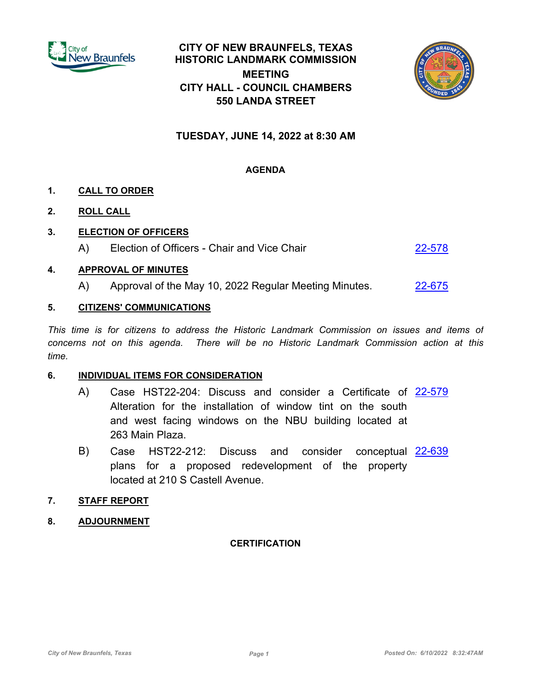

# **CITY OF NEW BRAUNFELS, TEXAS HISTORIC LANDMARK COMMISSION MEETING CITY HALL - COUNCIL CHAMBERS 550 LANDA STREET**



## **TUESDAY, JUNE 14, 2022 at 8:30 AM**

## **AGENDA**

## **1. CALL TO ORDER**

**2. ROLL CALL**

#### **3. ELECTION OF OFFICERS**

A) Election of Officers - Chair and Vice Chair [22-578](http://newbraunfels.legistar.com/gateway.aspx?m=l&id=/matter.aspx?key=10591)

#### **4. APPROVAL OF MINUTES**

A) Approval of the May 10, 2022 Regular Meeting Minutes. [22-675](http://newbraunfels.legistar.com/gateway.aspx?m=l&id=/matter.aspx?key=10690)

#### **5. CITIZENS' COMMUNICATIONS**

*This time is for citizens to address the Historic Landmark Commission on issues and items of concerns not on this agenda. There will be no Historic Landmark Commission action at this time.*

#### **6. INDIVIDUAL ITEMS FOR CONSIDERATION**

- A) Case HST22-204: Discuss and consider a Certificate of <u>[22-579](http://newbraunfels.legistar.com/gateway.aspx?m=l&id=/matter.aspx?key=10592)</u> Alteration for the installation of window tint on the south and west facing windows on the NBU building located at 263 Main Plaza.
- B) Case HST22-212: Discuss and consider conceptual [22-639](http://newbraunfels.legistar.com/gateway.aspx?m=l&id=/matter.aspx?key=10653) plans for a proposed redevelopment of the property located at 210 S Castell Avenue.

## **7. STAFF REPORT**

**8. ADJOURNMENT**

#### **CERTIFICATION**